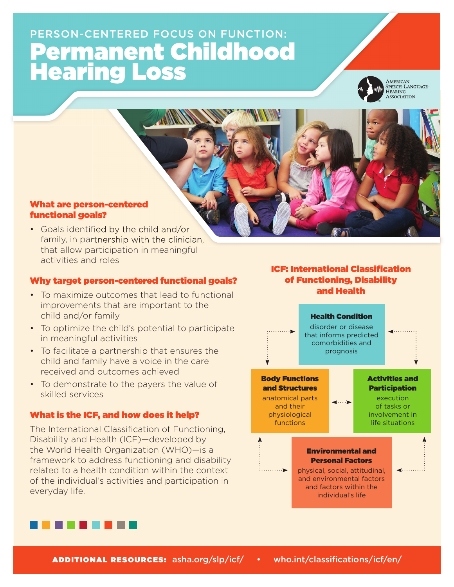# PERSON-CENTERED FOCUS ON FUNCTION: Permanent Childhood Hearing Loss



AMERICAN<br>SPEECH-LANGUAGE-HEARING<br>ASSOCIATION

#### What are person-centered functional goals?

• Goals identified by the child and/or family, in partnership with the clinician, that allow participation in meaningful activities and roles

#### Why target person-centered functional goals?

- To maximize outcomes that lead to functional improvements that are important to the child and/or family
- To optimize the child's potential to participate in meaningful activities
- To facilitate a partnership that ensures the child and family have a voice in the care received and outcomes achieved
- To demonstrate to the payers the value of skilled services

#### What is the ICF, and how does it help?

The International Classification of Functioning, Disability and Health (ICF)—developed by the World Health Organization (WHO)—is a framework to address functioning and disability related to a health condition within the context of the individual's activities and participation in everyday life.

## **ICF: International Classification** of Functioning, Disability and Health